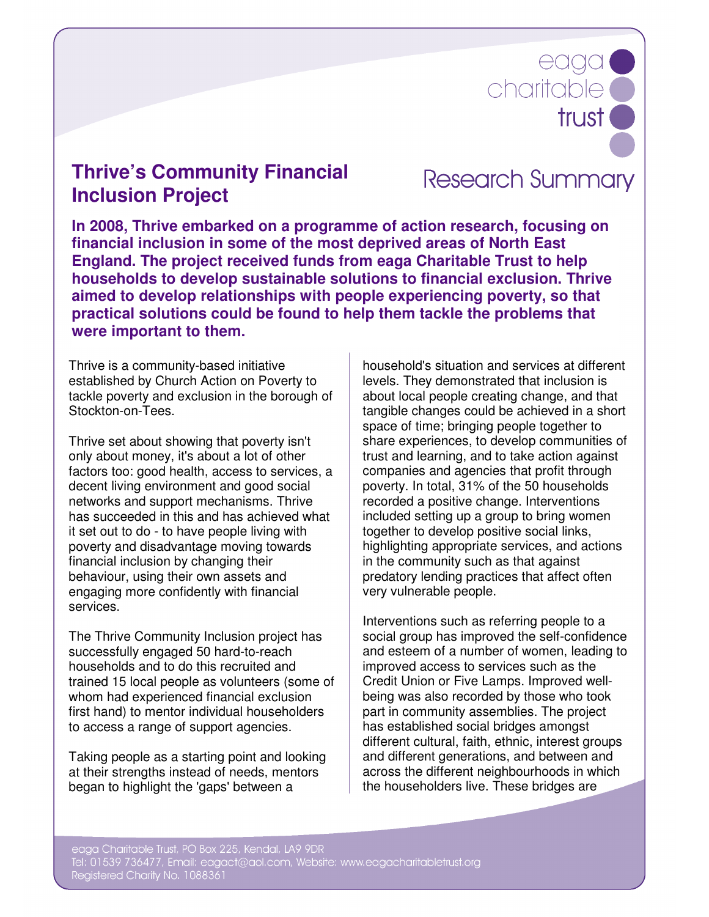# eaga trust<sup>®</sup>

# **Thrive's Community Financial Inclusion Project**

**Research Summary** 

**In 2008, Thrive embarked on a programme of action research, focusing on financial inclusion in some of the most deprived areas of North East England. The project received funds from eaga Charitable Trust to help households to develop sustainable solutions to financial exclusion. Thrive aimed to develop relationships with people experiencing poverty, so that practical solutions could be found to help them tackle the problems that were important to them.**

Thrive is a community-based initiative established by Church Action on Poverty to tackle poverty and exclusion in the borough of Stockton-on-Tees.

Thrive set about showing that poverty isn't only about money, it's about a lot of other factors too: good health, access to services, a decent living environment and good social networks and support mechanisms. Thrive has succeeded in this and has achieved what it set out to do - to have people living with poverty and disadvantage moving towards financial inclusion by changing their behaviour, using their own assets and engaging more confidently with financial services.

The Thrive Community Inclusion project has successfully engaged 50 hard-to-reach households and to do this recruited and trained 15 local people as volunteers (some of whom had experienced financial exclusion first hand) to mentor individual householders to access a range of support agencies.

Taking people as a starting point and looking at their strengths instead of needs, mentors began to highlight the 'gaps' between a

household's situation and services at different levels. They demonstrated that inclusion is about local people creating change, and that tangible changes could be achieved in a short space of time; bringing people together to share experiences, to develop communities of trust and learning, and to take action against companies and agencies that profit through poverty. In total, 31% of the 50 households recorded a positive change. Interventions included setting up a group to bring women together to develop positive social links, highlighting appropriate services, and actions in the community such as that against predatory lending practices that affect often very vulnerable people.

Interventions such as referring people to a social group has improved the self-confidence and esteem of a number of women, leading to improved access to services such as the Credit Union or Five Lamps. Improved wellbeing was also recorded by those who took part in community assemblies. The project has established social bridges amongst different cultural, faith, ethnic, interest groups and different generations, and between and across the different neighbourhoods in which the householders live. These bridges are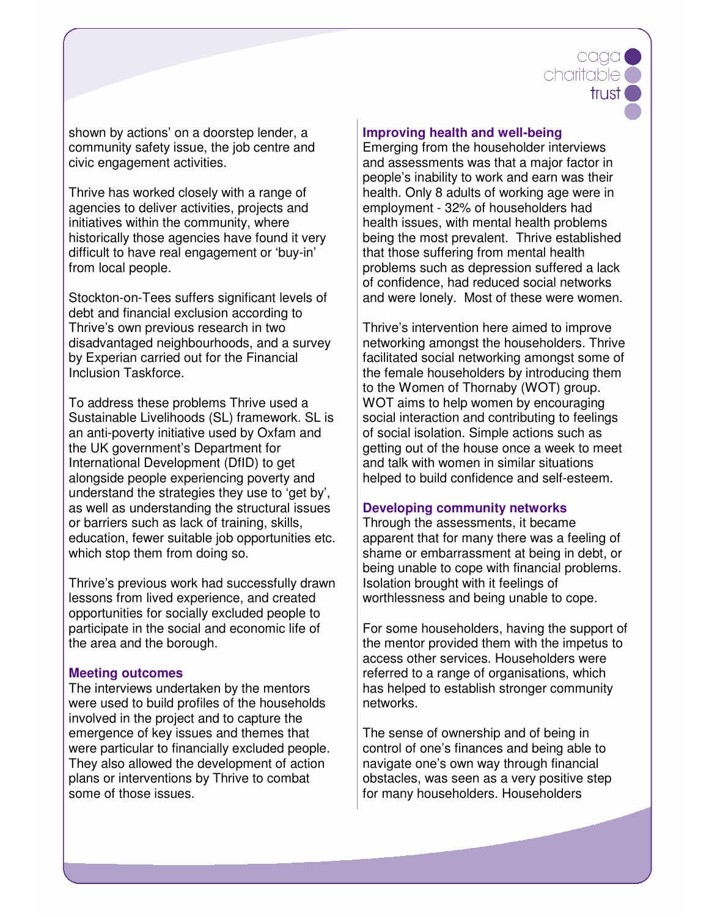# eada charitable ( trust

shown by actions' on a doorstep lender, a community safety issue, the job centre and civic engagement activities.

Thrive has worked closely with a range of agencies to deliver activities, projects and initiatives within the community, where historically those agencies have found it very difficult to have real engagement or 'buy-in' from local people.

Stockton-on-Tees suffers significant levels of debt and financial exclusion according to Thrive's own previous research in two disadvantaged neighbourhoods, and a survey by Experian carried out for the Financial Inclusion Taskforce.

To address these problems Thrive used a Sustainable Livelihoods (SL) framework. SL is an anti-poverty initiative used by Oxfam and the UK government's Department for International Development (DfID) to get alongside people experiencing poverty and understand the strategies they use to 'get by', as well as understanding the structural issues or barriers such as lack of training, skills, education, fewer suitable job opportunities etc. which stop them from doing so.

Thrive's previous work had successfully drawn lessons from lived experience, and created opportunities for socially excluded people to participate in the social and economic life of the area and the borough.

## **Meeting outcomes**

The interviews undertaken by the mentors were used to build profiles of the households involved in the project and to capture the emergence of key issues and themes that were particular to financially excluded people. They also allowed the development of action plans or interventions by Thrive to combat some of those issues.

#### **Improving health and well-being**

Emerging from the householder interviews and assessments was that a major factor in people's inability to work and earn was their health. Only 8 adults of working age were in employment - 32% of householders had health issues, with mental health problems being the most prevalent. Thrive established that those suffering from mental health problems such as depression suffered a lack of confidence, had reduced social networks and were lonely. Most of these were women.

Thrive's intervention here aimed to improve networking amongst the householders. Thrive facilitated social networking amongst some of the female householders by introducing them to the Women of Thornaby (WOT) group. WOT aims to help women by encouraging social interaction and contributing to feelings of social isolation. Simple actions such as getting out of the house once a week to meet and talk with women in similar situations helped to build confidence and self-esteem.

## **Developing community networks**

Through the assessments, it became apparent that for many there was a feeling of shame or embarrassment at being in debt, or being unable to cope with financial problems. Isolation brought with it feelings of worthlessness and being unable to cope.

For some householders, having the support of the mentor provided them with the impetus to access other services. Householders were referred to a range of organisations, which has helped to establish stronger community networks.

The sense of ownership and of being in control of one's finances and being able to navigate one's own way through financial obstacles, was seen as a very positive step for many householders. Householders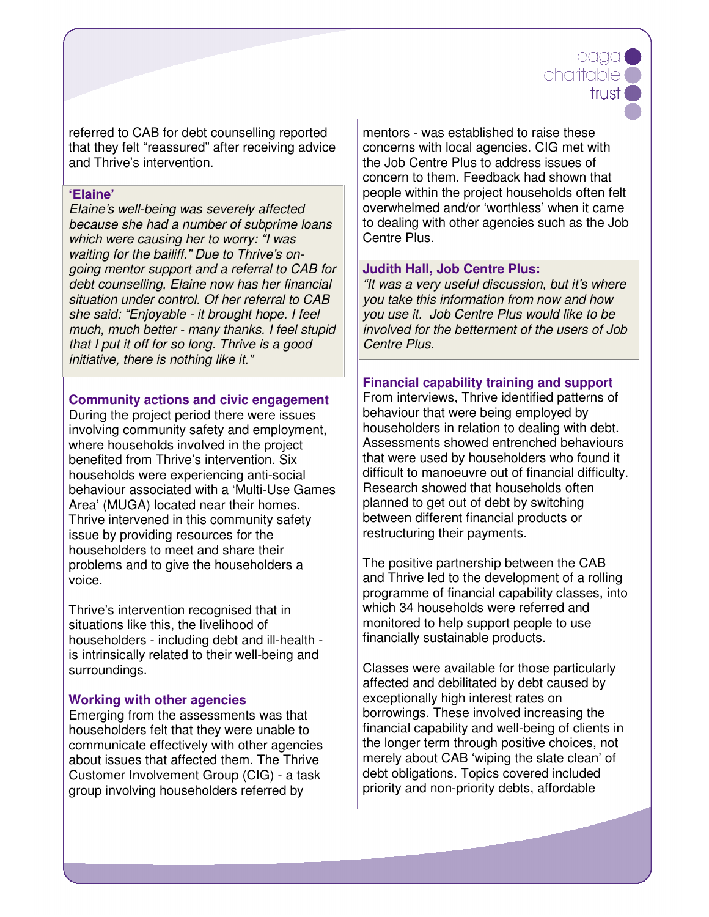# eada charitable ( trust.

referred to CAB for debt counselling reported that they felt "reassured" after receiving advice and Thrive's intervention.

#### **'Elaine'**

Elaine's well-being was severely affected because she had a number of subprime loans which were causing her to worry: "I was waiting for the bailiff." Due to Thrive's ongoing mentor support and a referral to CAB for debt counselling, Elaine now has her financial situation under control. Of her referral to CAB she said: "Enjoyable - it brought hope. I feel much, much better - many thanks. I feel stupid that I put it off for so long. Thrive is a good initiative, there is nothing like it."

#### **Community actions and civic engagement**

During the project period there were issues involving community safety and employment, where households involved in the project benefited from Thrive's intervention. Six households were experiencing anti-social behaviour associated with a 'Multi-Use Games Area' (MUGA) located near their homes. Thrive intervened in this community safety issue by providing resources for the householders to meet and share their problems and to give the householders a voice.

Thrive's intervention recognised that in situations like this, the livelihood of householders - including debt and ill-health is intrinsically related to their well-being and surroundings.

## **Working with other agencies**

Emerging from the assessments was that householders felt that they were unable to communicate effectively with other agencies about issues that affected them. The Thrive Customer Involvement Group (CIG) - a task group involving householders referred by

mentors - was established to raise these concerns with local agencies. CIG met with the Job Centre Plus to address issues of concern to them. Feedback had shown that people within the project households often felt overwhelmed and/or 'worthless' when it came to dealing with other agencies such as the Job Centre Plus.

## **Judith Hall, Job Centre Plus:**

"It was a very useful discussion, but it's where you take this information from now and how you use it. Job Centre Plus would like to be involved for the betterment of the users of Job Centre Plus.

# **Financial capability training and support**

From interviews, Thrive identified patterns of behaviour that were being employed by householders in relation to dealing with debt. Assessments showed entrenched behaviours that were used by householders who found it difficult to manoeuvre out of financial difficulty. Research showed that households often planned to get out of debt by switching between different financial products or restructuring their payments.

The positive partnership between the CAB and Thrive led to the development of a rolling programme of financial capability classes, into which 34 households were referred and monitored to help support people to use financially sustainable products.

Classes were available for those particularly affected and debilitated by debt caused by exceptionally high interest rates on borrowings. These involved increasing the financial capability and well-being of clients in the longer term through positive choices, not merely about CAB 'wiping the slate clean' of debt obligations. Topics covered included priority and non-priority debts, affordable